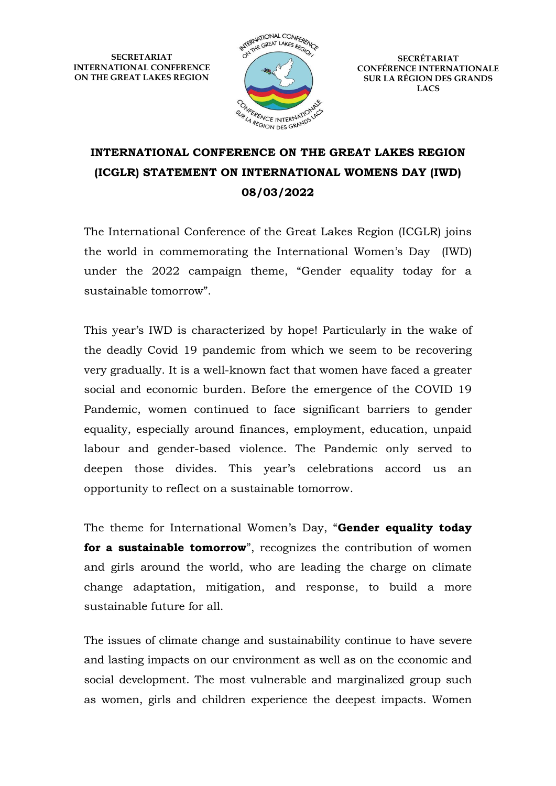**SECRETARIAT INTERNATIONAL CONFERENCE ON THE GREAT LAKES REGION**



**SECRÉTARIAT CONFÉRENCE INTERNATIONALE SUR LA RÉGION DES GRANDS LACS**

## **INTERNATIONAL CONFERENCE ON THE GREAT LAKES REGION (ICGLR) STATEMENT ON INTERNATIONAL WOMENS DAY (IWD) 08/03/2022**

The International Conference of the Great Lakes Region (ICGLR) joins the world in commemorating the International Women's Day (IWD) under the 2022 campaign theme, "Gender equality today for a sustainable tomorrow".

This year's IWD is characterized by hope! Particularly in the wake of the deadly Covid 19 pandemic from which we seem to be recovering very gradually. It is a well-known fact that women have faced a greater social and economic burden. Before the emergence of the COVID 19 Pandemic, women continued to face significant barriers to gender equality, especially around finances, employment, education, unpaid labour and gender-based violence. The Pandemic only served to deepen those divides. This year's celebrations accord us an opportunity to reflect on a sustainable tomorrow.

The theme for International Women's Day, "**Gender equality today**  for a sustainable tomorrow", recognizes the contribution of women and girls around the world, who are leading the charge on climate change adaptation, mitigation, and response, to build a more sustainable future for all.

The issues of climate change and sustainability continue to have severe and lasting impacts on our environment as well as on the economic and social development. The most vulnerable and marginalized group such as women, girls and children experience the deepest impacts. Women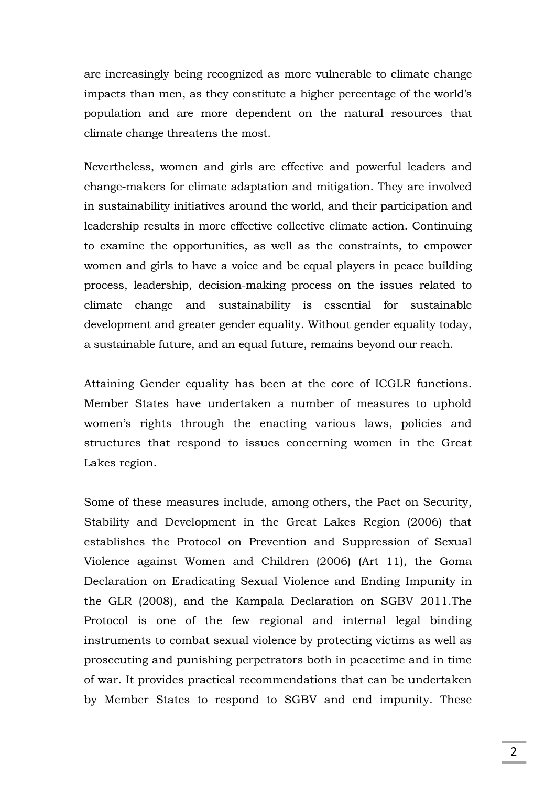are increasingly being recognized as more vulnerable to climate change impacts than men, as they constitute a higher percentage of the world's population and are more dependent on the natural resources that climate change threatens the most.

Nevertheless, women and girls are effective and powerful leaders and change-makers for climate adaptation and mitigation. They are involved in sustainability initiatives around the world, and their participation and leadership results in more effective collective climate action. Continuing to examine the opportunities, as well as the constraints, to empower women and girls to have a voice and be equal players in peace building process, leadership, decision-making process on the issues related to climate change and sustainability is essential for sustainable development and greater gender equality. Without gender equality today, a sustainable future, and an equal future, remains beyond our reach.

Attaining Gender equality has been at the core of ICGLR functions. Member States have undertaken a number of measures to uphold women's rights through the enacting various laws, policies and structures that respond to issues concerning women in the Great Lakes region.

Some of these measures include, among others, the Pact on Security, Stability and Development in the Great Lakes Region (2006) that establishes the Protocol on Prevention and Suppression of Sexual Violence against Women and Children (2006) (Art 11), the Goma Declaration on Eradicating Sexual Violence and Ending Impunity in the GLR (2008), and the Kampala Declaration on SGBV 2011.The Protocol is one of the few regional and internal legal binding instruments to combat sexual violence by protecting victims as well as prosecuting and punishing perpetrators both in peacetime and in time of war. It provides practical recommendations that can be undertaken by Member States to respond to SGBV and end impunity. These